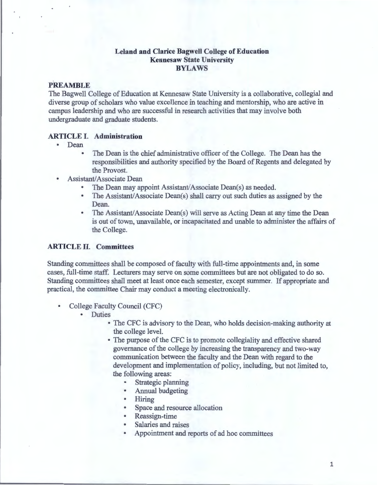#### **Leland and Clarice Bagwell College of Education Kennesaw State University BYLAWS**

#### **PREAMBLE**

The Bagwell College of Education at Kennesaw State University is a collaborative, collegial and diverse group of scholars who value excellence in teaching and mentorship, who are active in campus leadership and who are successful in research activities that may involve both undergraduate and graduate students.

# **ARTICLE I. Administration**

- Dean
	- The Dean is the chief administrative officer of the College. The Dean has the responsibilities and authority specified by the Board of Regents and delegated by the Provost.
- Assistant/Associate Dean
	- The Dean may appoint Assistant/Associate Dean(s) as needed.
	- The Assistant/Associate Dean(s) shall carry out such duties as assigned by the Dean.
	- The Assistant/Associate Dean(s) will serve as Acting Dean at any time the Dean is out of town, unavailable, or incapacitated and unable to administer the affairs of the College.

#### **ARTICLE II. Committees**

Standing committees shall be composed of faculty with full-time appointments and, in some cases, full-time staff. Lecturers may serve on some committees but are not obligated to do so. Standing committees shall meet at least once each semester, except summer. If appropriate and practical, the committee Chair may conduct a meeting electronically.

- College Faculty Council (CFC)
	- Duties
		- The CFC is advisory to the Dean, who holds decision-making authority at the college level.
		- The purpose of the CFC is to promote collegiality and effective shared governance of the college by increasing the transparency and two-way communication between the faculty and the Dean with regard to the development and implementation of policy, including, but not limited to, the following areas:
			- Strategic planning
			- Annual budgeting
			- Hiring
			- Space and resource allocation
			- Reassign-time
			- Salaries and raises
			- Appointment and reports of ad hoc committees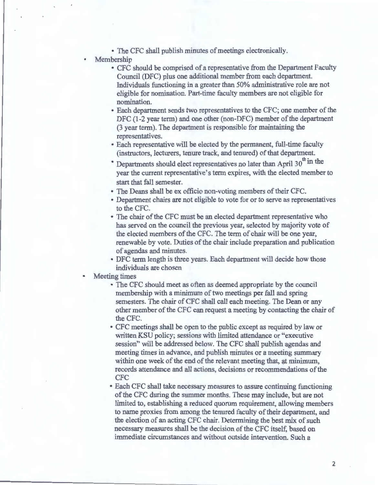- The CFC shall publish minutes of meetings electronically.
- Membership
	- CFC should be comprised of a representative from the Department Faculty Council (DFC) plus one additional member from each department. Individuals functioning in a greater than 50% administrative role are not eligible for nomination. Part-time faculty members are not eligible for nomination.
	- Each department sends two representatives to the CFC; one member of the DFC (1-2 year term) and one other (non-DFC) member of the department (3 year term). The department is responsible for maintaining the representatives.
	- Each representative will be elected by the permanent, full-time faculty (instructors, lecturers, tenure track, and tenured) of that department.
	- \* Departments should elect representatives no later than April  $30<sup>th</sup>$  in the year the current representative's term expires, with the elected member to start that fall semester.
	- The Deans shall be ex officio non-voting members of their CFC.
	- Department chairs are not eligible to vote for or to serve as representatives to the CFC.
	- The chair of the CFC must be an elected department representative who has served on the council the previous year, selected by majority vote of the elected members of the CFC. The term of chair will be one year, renewable by vote. Duties of the chair include preparation and publication of agendas and minutes.
	- DFC term length is three years. Each department will decide how those individuals are chosen
- Meeting times
	- The CFC should meet as often as deemed appropriate by the council membership with a minimum of two meetings per fall and spring semesters. The chair of CFC shall call each meeting. The Dean or any other member of the CFC can request a meeting by contacting the chair of the CFC. .
	- CFC meetings shall be open to the public except as required by law or written KSU policy; sessions with limited attendance or "executive session" will be addressed below. The CFC shall publish agendas and meeting times in advance, and publish minutes or a meeting summary within one week of the end of the relevant meeting that, at minimum, records attendance and all actions, decisions or recommendations of the CFC
	- Each CFC shall take necessary measures to assure continuing functioning of the CFC during the summer months. These may include, but are not limited to, establishing a reduced quorum requirement, allowing members to name proxies from among the tenured faculty of their department, and the election of an acting CFC chair. Determining the best mix of such necessary measures shall be the decision of the CFC itself, based on immediate circumstances and without outside intervention. Such a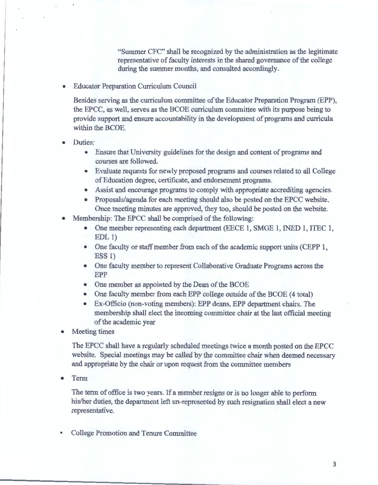"Summer CFC" shall be recognized by the administration as the legitimate representative of faculty interests in the shared governance of the college during the summer months, and consulted accordingly.

• Educator Preparation Curriculum Council

Besides serving as the curriculum committee of the Educator Preparation Program (EPP), the EPCC, as well, serves as the BCOE curriculum committee with its purpose being to provide support and ensure accountability in the development of programs and curricula within the BCOE.

- Duties:
	- Ensure that University guidelines for the design and content of programs and courses are followed.
	- Evaluate requests for newly proposed programs and courses related to all College of Education degree, certificate, and endorsement programs.
	- Assist and encourage programs to comply with appropriate accrediting agencies.
	- Proposals/agenda for each meeting should also be posted on the EPCC website. Once meeting minutes are approved, they too, should be posted on the website.
- Membership: The EPCC shall be comprised of the following:
	- One member representing each department (EECE 1, SMGE 1, INED 1, ITEC 1,  $EDL<sub>1</sub>$
	- One faculty or staff member from each of the academic support units (CEPP 1, ESS 1)
	- One faculty member to represent Collaborative Graduate Programs across the EPP
	- One member as appointed by the Dean of the BCOE
	- One faculty member from each EPP college outside of the BCOE (4 total)
	- Ex-Officio (non-voting members): EPP deans, EPP department chairs. The membership shall elect the incoming committee chair at the last official meeting of the academic year

Meeting times

The EPCC shall have a regularly scheduled meetings twice a month posted on the EPCC website. Special meetings may be called by the committee chair when deemed necessary and appropriate by the chair or upon request from the committee members

• Term

The term of office is two years. If a member resigns or is no longer able to perform his/her duties, the department left un-represented by such resignation shall elect a new representative.

• College Promotion and Tenure Committee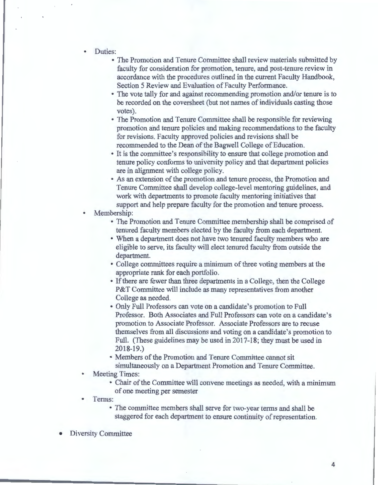- Duties:
	- The Promotion and Tenure Committee shall review materials submitted by faculty for consideration for promotion, tenure, and post-tenure review in accordance with the procedures outlined in the current Faculty Handbook, Section 5 Review and Evaluation of Faculty Performance.
	- The vote tally for and against recommending promotion and/or tenure is to be recorded on the coversheet (but not names of individuals casting those votes).
	- The Promotion and Tenure Committee shall be responsible for reviewing promotion and tenure policies and making recommendations to the faculty for revisions. Faculty approved policies and revisions shall be recommended to the Dean of the Bagwell College of Education.
	- It is the committee's responsibility to ensure that college promotion and tenure policy conforms to university policy and that department policies are in alignment with college policy.
	- As an extension of the promotion and tenure process, the Promotion and Tenure Committee shall develop college-level mentoring guidelines, and work with departments to promote faculty mentoring initiatives that support and help prepare faculty for the promotion and tenure process.

Membership:

- The Promotion and Tenure Committee membership shall be comprised of tenured faculty members elected by the faculty from each department.
- When a department does not have two tenured faculty members who are eligible to serve, its faculty will elect tenured faculty from outside the department.
- College committees require a minimum of three voting members at the appropriate rank for each portfolio.
- If there are fewer than three departments in a College, then the College P&T Committee will include as many representatives from another College as needed.
- Only Full Professors can vote on a candidate's promotion to Full Professor. Both Associates and Full Professors can vote on a candidate's promotion to Associate Professor. Associate Professors are to recuse themselves from all discussions and voting on a candidate's promotion to Full. (These guidelines may be used in 2017-18; they must be used in 2018-19.)
- Members of the Promotion and Tenure Committee cannot sit simultaneously on a Department Promotion and Tenure Committee.
- Meeting Times:
	- Chair of the Committee will convene meetings as needed, with a minimum of one meeting per semester
- Terms:
	- The committee members shall serve for two-year terms and shall be staggered for each department to ensure continuity of representation.
- Diversity Committee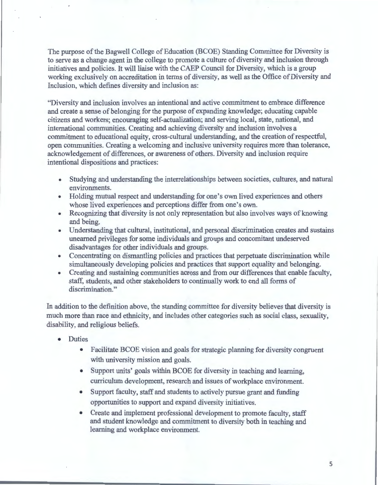The purpose of the Bagwell College of Education (BCOE) Standing Committee for Diversity is to serve as a change agent in the college to promote a culture of diversity and inclusion through initiatives and policies. It will liaise with the CAEP Council for Diversity, which is a group working exclusively on accreditation in terms of diversity, as well as the Office of Diversity and Inclusion, which defines diversity and inclusion as:

"Diversity and inclusion involves an intentional and active commitment to embrace difference and create a sense of belonging for the purpose of expanding knowledge; educating capable citizens and workers; encouraging self-actualization; and serving local, state, national, and international communities. Creating and achieving diversity and inclusion involves a commitment to educational equity, cross-cultural understanding, and the creation of respectful, open communities. Creating a welcoming and inclusive university requires more than tolerance, acknowledgement of differences, or awareness of others. Diversity and inclusion require intentional dispositions and practices:

- Studying and understanding the interrelationships between societies, cultures, and natural environments.
- Holding mutual respect and understanding for one's own lived experiences and others whose lived experiences and perceptions differ from one's own.
- Recognizing that diversity is not only representation but also involves ways of knowing and being.
- Understanding that cultural, institutional, and personal discrimination creates and sustains unearned privileges for some individuals and groups and concomitant undeserved disadvantages for other individuals and groups.
- Concentrating on dismantling policies and practices that perpetuate discrimination while simultaneously developing policies and practices that support equality and belonging.
- Creating and sustaining communities across and from our differences that enable faculty, staff, students, and other stakeholders to continually work to end all forms of discrimination."

In addition to the definition above, the standing committee for diversity believes that diversity is much more than race and ethnicity, and includes other categories such as social class, sexuality, disability, and religious beliefs.

- Duties
	- Facilitate BCOE vision and goals for strategic planning for diversity congruent with university mission and goals.
	- Support units' goals within BCOE for diversity in teaching and learning, curriculum development, research and issues of workplace environment.
	- Support faculty, staff and students to actively pursue grant and funding opportunities to support and expand diversity initiatives.
	- Create and implement professional development to promote faculty, staff and student knowledge and commitment to diversity both in teaching and learning and workplace environment.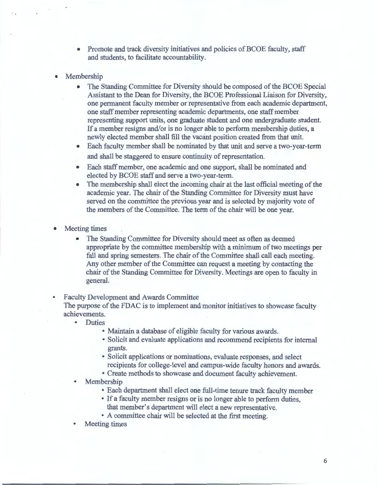- Promote and track diversity initiatives and policies of BCOE faculty, staff and students, to facilitate accountability.
- **Membership** 
	- The Standing Committee for Diversity should be composed of the BCOE Special Assistant to the Dean for Diversity, the BCOE Professional Liaison for Diversity, one permanent faculty member or representative from each academic department, one staff member representing academic departments, one staff member representing support units, one graduate student and one undergraduate student. If a member resigns and/or is no longer able to perform membership duties, a newly elected member shall fill the vacant position created from that unit.
	- Each faculty member shall be nominated by that unit and serve a two-year-term and shall be staggered to ensure continuity of representation.
	- Each staff member, one academic and one support, shall be nominated and elected by BCOE staff and serve a two-year-term.
	- The membership shall elect the incoming chair at the last official meeting of the academic year. The chair of the Standing Committee for Diversity must have served on the committee the previous year and is selected by majority vote of the members of the Committee. The term of the chair will be one year.
- Meeting times
	- The Standing Committee for Diversity should meet as often as deemed appropriate by the committee membership with a minimum of two meetings per fall and spring semesters. The chair of the Committee shall call each meeting. Any other member of the Committee can request a meeting by contacting the chair of the Standing Committee for Diversity. Meetings are open to faculty in general.

• Faculty Development and Awards Committee

The purpose of the FDAC is to implement and monitor initiatives to showcase faculty achievements.

- Duties
	- Maintain a database of eligible faculty for various awards.
	- Solicit and evaluate applications and recommend recipients for internal grants.
	- Solicit applications or nominations, evaluate responses, and select recipients for college-level and campus-wide faculty honors and awards.
	- Create methods to showcase and document faculty achievement.
	- **Membership** 
		- Each department shall elect one full-time tenure track faculty member
		- If a faculty member resigns or is no longer able to perform duties, that member's department will elect a new representative.
		- A committee chair will be selected at the first meeting.
	- Meeting times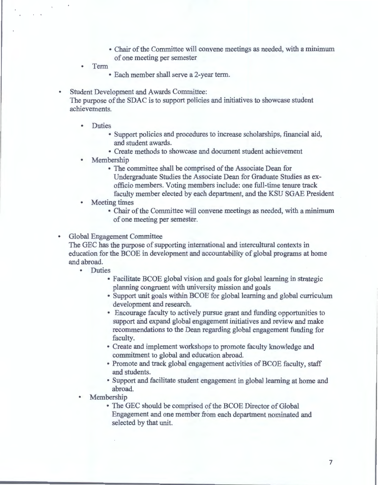- Chair of the Committee will convene meetings as needed, with a minimum of one meeting per semester
- Term
	- Each member shall serve a 2-year term.

Student Development and Awards Committee:

The purpose of the SDAC is to support policies and initiatives to showcase student achievements.

- Duties
	- Support policies and procedures to increase scholarships, financial aid, and student awards.
	- Create methods to showcase and document student achievement
- **Membership** 
	- The committee shall be comprised of the Associate Dean for Undergraduate Studies the Associate Dean for Graduate Studies as exofficio members. Voting members include: one full-time tenure track faculty member elected by each department, and the KSU SGAE President
- Meeting times
	- Chair of the Committee will convene meetings as needed, with a minimum of one meeting per semester.
- Global Engagement Committee

The GEC has the purpose of supporting international and intercultural contexts in education for the BCOE in development and accountability of global programs at home and abroad.

- Duties
	- Facilitate BCOE global vision and goals for global learning in strategic planning congruent with university mission and goals
	- Support unit goals within BCOE for global learning and global curriculum development and research.
	- Encourage faculty to actively pursue grant and funding opportunities to support and expand global engagement initiatives and review and make recommendations to the Dean regarding global engagement funding for faculty.
	- Create and implement workshops to promote faculty knowledge and commitment to global and education abroad.
	- Promote and track global engagement activities of BCOE faculty, staff and students.
	- Support and facilitate student engagement in global learning at home and abroad.
- **Membership** 
	- The GEC should be comprised of the BCOE Director of Global Engagement and one member from each department nominated and selected by that unit.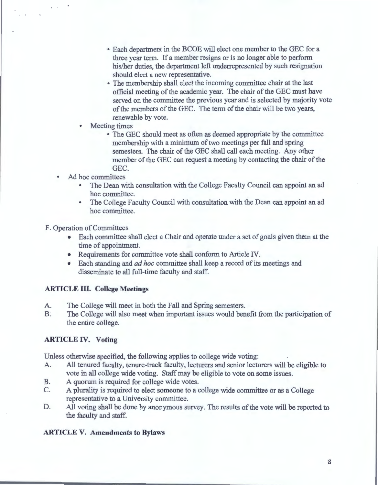- Each department in the BCOE will elect one member to the GEC for a three year term. If a member resigns or is no longer able to perform his/her duties, the department left underrepresented by such resignation should elect a new representative.
- The membership shall elect the incoming committee chair at the last official meeting of the academic year. The chair of the GEC must have served on the committee the previous year and is selected by majority vote of the members of the GEC. The term of the chair will be two years, renewable by vote.
- **Meeting times** 
	- The GEC should meet as often as deemed appropriate by the committee membership with a minimum of two meetings per fall and spring semesters. The chair of the GEC shall call each meeting. Any other member of the GEC can request a meeting by contacting the chair of the GEC.
- Ad hoc committees

 $\sim$ 

- The Dean with consultation with the College Faculty Council can appoint an ad hoc committee.
- The College Faculty Council with consultation with the Dean can appoint an ad hoc committee.

F. Operation of Committees

- Each committee shall elect a Chair and operate under a set of goals given them at the time of appointment.
- Requirements for committee vote shall conform to Article IV.
- Each standing and *ad hoc* committee shall keep a record of its meetings and disseminate to all full-time faculty and staff.

# **ARTICLE** III. **College Meetings**

- A. The College will meet in both the Fall and Spring semesters.
- B. The College will also meet when important issues would benefit from the participation of the entire college.

# **ARTICLE IV. Voting**

Unless otherwise specified, the following applies to college wide voting:

- A. All tenured faculty, tenure-track faculty, lecturers and senior lecturers will be eligible to vote in all college wide voting. Staff may be eligible to vote on some issues.
- B. A quorum is required for college wide votes.
- C. A plurality is required to elect someone to a college wide committee or as a College representative to a University committee.
- D. All voting shall be done by anonymous survey. The results of the vote will be reported to the faculty and staff.

# **ARTICLE V. Amendments to Bylaws**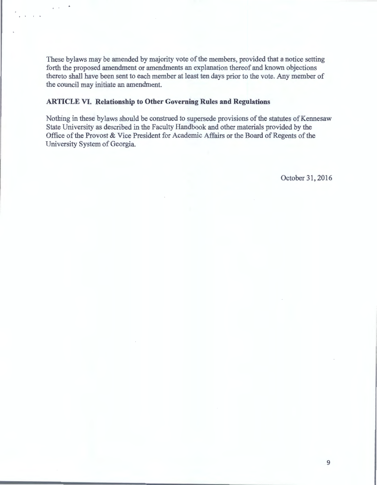These bylaws may be amended by majority vote of the members, provided that a notice setting forth the proposed amendment or amendments an explanation thereof and known objections thereto shall have been sent to each member at least ten days prior to the vote. Any member of the council may initiate an amendment.

### **ARTICLE VI. Relationship to Other Governing Rules and Regulations**

Nothing in these bylaws should be construed to supersede provisions of the statutes of Kennesaw State University as described in the Faculty Handbook and other materials provided by the Office of the Provost & Vice President for Academic Affairs or the Board of Regents of the University System of Georgia.

October 31, 2016